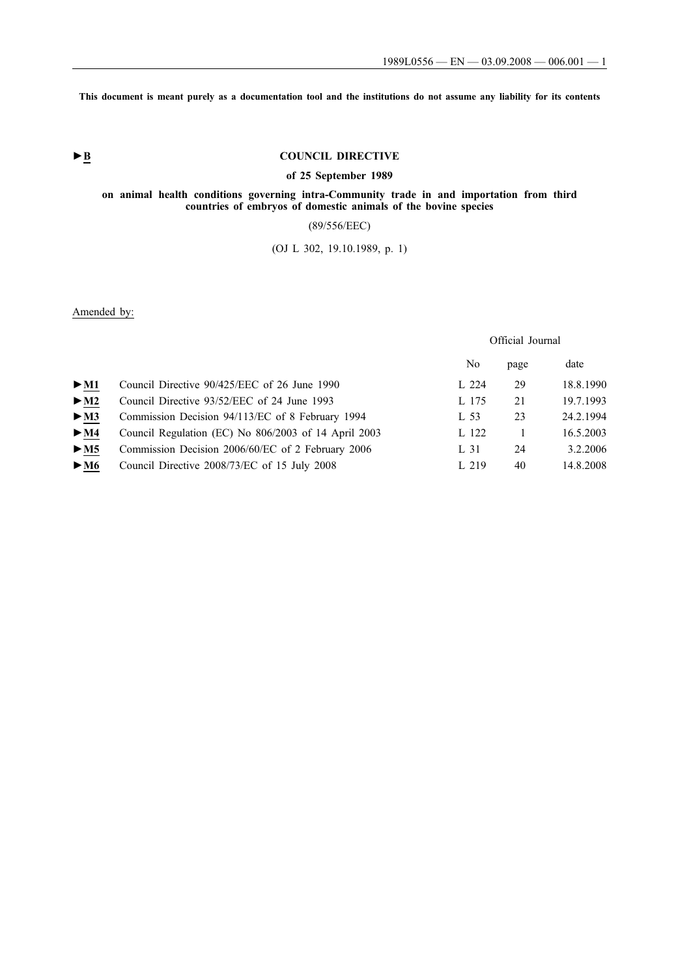**This document is meant purely as a documentation tool and the institutions do not assume any liability for its contents**

# **►B COUNCIL DIRECTIVE**

### **of 25 September 1989**

### **on animal health conditions governing intra-Community trade in and importation from third countries of embryos of domestic animals of the bovine species**

# (89/556/EEC)

# (OJ L 302, 19.10.1989, p. 1)

Amended by:

|                          |                                                      |       | Official Journal |           |
|--------------------------|------------------------------------------------------|-------|------------------|-----------|
|                          |                                                      | No    | page             | date      |
| $\blacktriangleright$ M1 | Council Directive 90/425/EEC of 26 June 1990         | L 224 | 29               | 18.8.1990 |
| $>$ M2                   | Council Directive 93/52/EEC of 24 June 1993          | L 175 | 21               | 19.7.1993 |
| $>$ M3                   | Commission Decision 94/113/EC of 8 February 1994     | L 53  | 23               | 24.2.1994 |
| > M4                     | Council Regulation (EC) No 806/2003 of 14 April 2003 | L 122 |                  | 16.5.2003 |
| > M5                     | Commission Decision 2006/60/EC of 2 February 2006    | L 31  | 24               | 3.2.2006  |
| $\blacktriangleright$ M6 | Council Directive 2008/73/EC of 15 July 2008         | L 219 | 40               | 14.8.2008 |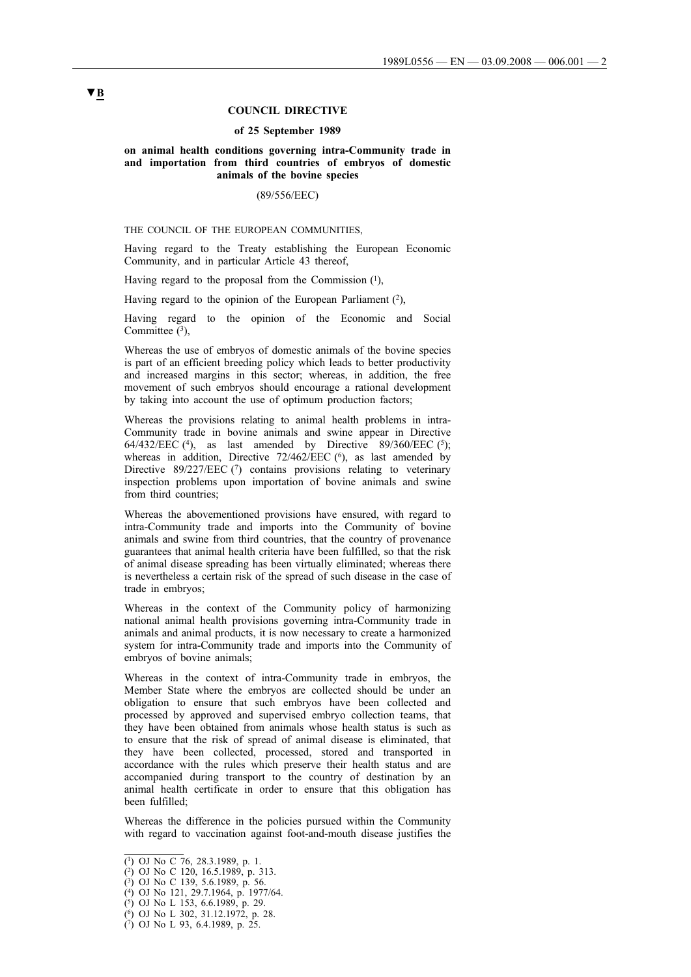#### **COUNCIL DIRECTIVE**

#### **of 25 September 1989**

#### **on animal health conditions governing intra-Community trade in and importation from third countries of embryos of domestic animals of the bovine species**

#### (89/556/EEC)

THE COUNCIL OF THE EUROPEAN COMMUNITIES,

Having regard to the Treaty establishing the European Economic Community, and in particular Article 43 thereof,

Having regard to the proposal from the Commission  $(1)$ ,

Having regard to the opinion of the European Parliament  $(2)$ ,

Having regard to the opinion of the Economic and Social Committee  $(3)$ ,

Whereas the use of embryos of domestic animals of the bovine species is part of an efficient breeding policy which leads to better productivity and increased margins in this sector; whereas, in addition, the free movement of such embryos should encourage a rational development by taking into account the use of optimum production factors;

Whereas the provisions relating to animal health problems in intra-Community trade in bovine animals and swine appear in Directive 64/432/EEC (4), as last amended by Directive 89/360/EEC (5); whereas in addition, Directive  $72/462/EEC$  ( $^6$ ), as last amended by Directive 89/227/EEC  $(7)$  contains provisions relating to veterinary inspection problems upon importation of bovine animals and swine from third countries;

Whereas the abovementioned provisions have ensured, with regard to intra-Community trade and imports into the Community of bovine animals and swine from third countries, that the country of provenance guarantees that animal health criteria have been fulfilled, so that the risk of animal disease spreading has been virtually eliminated; whereas there is nevertheless a certain risk of the spread of such disease in the case of trade in embryos;

Whereas in the context of the Community policy of harmonizing national animal health provisions governing intra-Community trade in animals and animal products, it is now necessary to create a harmonized system for intra-Community trade and imports into the Community of embryos of bovine animals;

Whereas in the context of intra-Community trade in embryos, the Member State where the embryos are collected should be under an obligation to ensure that such embryos have been collected and processed by approved and supervised embryo collection teams, that they have been obtained from animals whose health status is such as to ensure that the risk of spread of animal disease is eliminated, that they have been collected, processed, stored and transported in accordance with the rules which preserve their health status and are accompanied during transport to the country of destination by an animal health certificate in order to ensure that this obligation has been fulfilled;

Whereas the difference in the policies pursued within the Community with regard to vaccination against foot-and-mouth disease justifies the

<sup>(1)</sup> OJ No C 76, 28.3.1989, p. 1.

<sup>(2)</sup> OJ No C 120, 16.5.1989, p. 313.

 $(3)$  OJ No C 139, 5.6.1989, p. 56.

<sup>(4)</sup> OJ No 121, 29.7.1964, p. 1977/64.

<sup>(5)</sup> OJ No L 153, 6.6.1989, p. 29.

<sup>(6)</sup> OJ No L 302, 31.12.1972, p. 28.

<sup>(7)</sup> OJ No L 93, 6.4.1989, p. 25.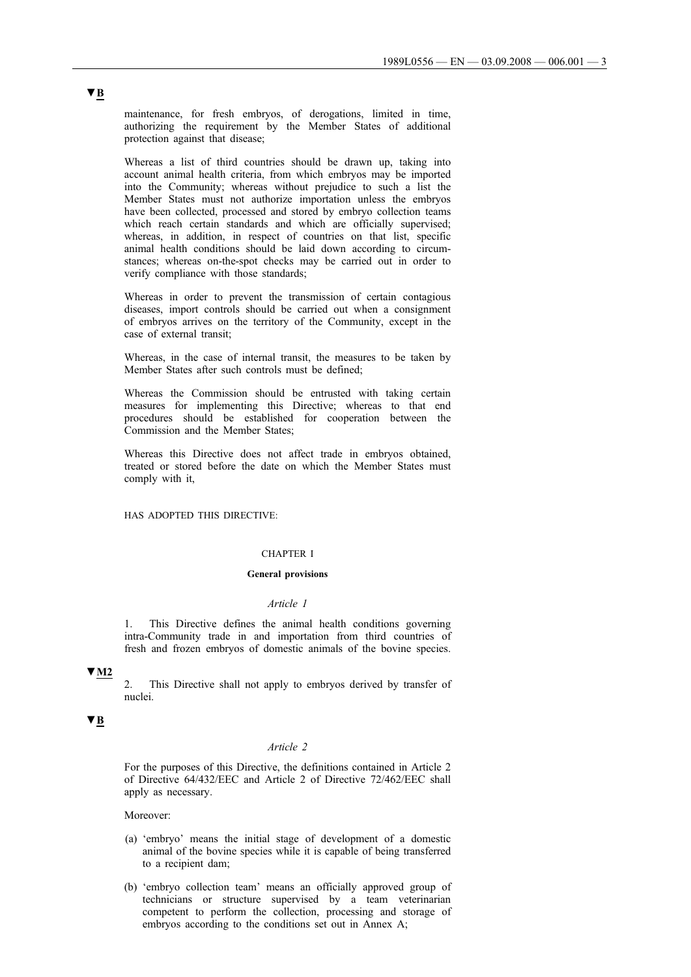maintenance, for fresh embryos, of derogations, limited in time, authorizing the requirement by the Member States of additional protection against that disease;

Whereas a list of third countries should be drawn up, taking into account animal health criteria, from which embryos may be imported into the Community; whereas without prejudice to such a list the Member States must not authorize importation unless the embryos have been collected, processed and stored by embryo collection teams which reach certain standards and which are officially supervised; whereas, in addition, in respect of countries on that list, specific animal health conditions should be laid down according to circumstances; whereas on-the-spot checks may be carried out in order to verify compliance with those standards;

Whereas in order to prevent the transmission of certain contagious diseases, import controls should be carried out when a consignment of embryos arrives on the territory of the Community, except in the case of external transit;

Whereas, in the case of internal transit, the measures to be taken by Member States after such controls must be defined;

Whereas the Commission should be entrusted with taking certain measures for implementing this Directive; whereas to that end procedures should be established for cooperation between the Commission and the Member States;

Whereas this Directive does not affect trade in embryos obtained, treated or stored before the date on which the Member States must comply with it,

HAS ADOPTED THIS DIRECTIVE:

### CHAPTER I

#### **General provisions**

#### *Article 1*

1. This Directive defines the animal health conditions governing intra-Community trade in and importation from third countries of fresh and frozen embryos of domestic animals of the bovine species.

### **▼M2**

2. This Directive shall not apply to embryos derived by transfer of nuclei.

# **▼B**

#### *Article 2*

For the purposes of this Directive, the definitions contained in Article 2 of Directive 64/432/EEC and Article 2 of Directive 72/462/EEC shall apply as necessary.

Moreover:

- (a) 'embryo' means the initial stage of development of a domestic animal of the bovine species while it is capable of being transferred to a recipient dam;
- (b) 'embryo collection team' means an officially approved group of technicians or structure supervised by a team veterinarian competent to perform the collection, processing and storage of embryos according to the conditions set out in Annex A;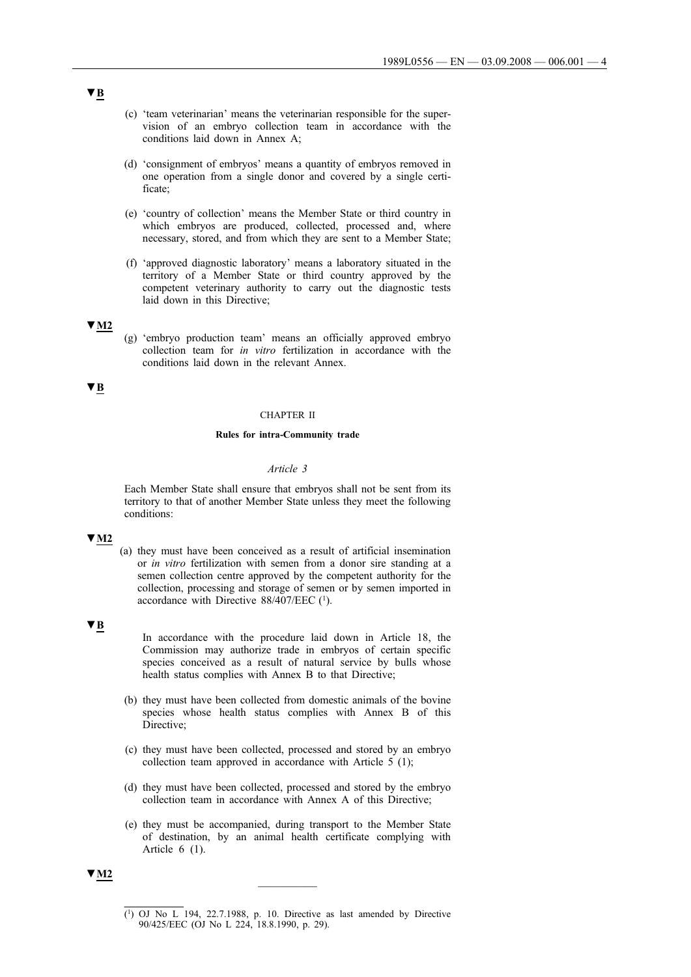- (c) 'team veterinarian' means the veterinarian responsible for the supervision of an embryo collection team in accordance with the conditions laid down in Annex A;
- (d) 'consignment of embryos' means a quantity of embryos removed in one operation from a single donor and covered by a single certificate;
- (e) 'country of collection' means the Member State or third country in which embryos are produced, collected, processed and, where necessary, stored, and from which they are sent to a Member State;
- (f) 'approved diagnostic laboratory' means a laboratory situated in the territory of a Member State or third country approved by the competent veterinary authority to carry out the diagnostic tests laid down in this Directive;

## **▼M2**

(g) 'embryo production team' means an officially approved embryo collection team for *in vitro* fertilization in accordance with the conditions laid down in the relevant Annex.

# **▼B**

# CHAPTER II

#### **Rules for intra-Community trade**

#### *Article 3*

Each Member State shall ensure that embryos shall not be sent from its territory to that of another Member State unless they meet the following conditions:

# **▼M2**

(a) they must have been conceived as a result of artificial insemination or *in vitro* fertilization with semen from a donor sire standing at a semen collection centre approved by the competent authority for the collection, processing and storage of semen or by semen imported in accordance with Directive 88/407/EEC (1).

#### **▼B**

In accordance with the procedure laid down in Article 18, the Commission may authorize trade in embryos of certain specific species conceived as a result of natural service by bulls whose health status complies with Annex B to that Directive;

- (b) they must have been collected from domestic animals of the bovine species whose health status complies with Annex B of this Directive;
- (c) they must have been collected, processed and stored by an embryo collection team approved in accordance with Article 5 (1);
- (d) they must have been collected, processed and stored by the embryo collection team in accordance with Annex A of this Directive;
- (e) they must be accompanied, during transport to the Member State of destination, by an animal health certificate complying with Article 6 (1).



<sup>(1)</sup> OJ No L 194, 22.7.1988, p. 10. Directive as last amended by Directive 90/425/EEC (OJ No L 224, 18.8.1990, p. 29).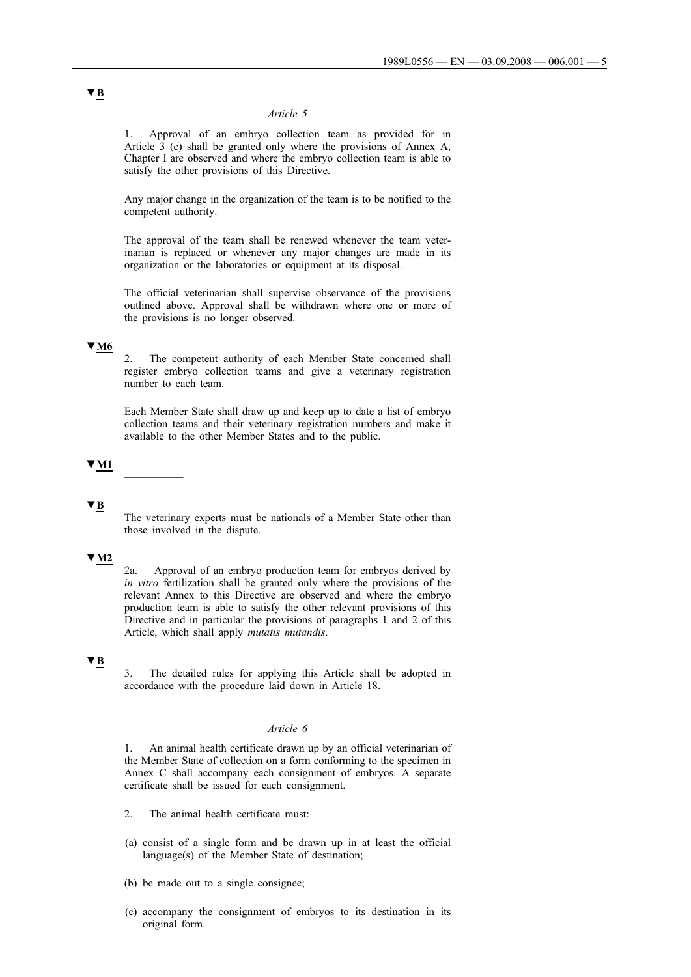### *Article 5*

1. Approval of an embryo collection team as provided for in Article 3 (c) shall be granted only where the provisions of Annex A, Chapter I are observed and where the embryo collection team is able to satisfy the other provisions of this Directive.

Any major change in the organization of the team is to be notified to the competent authority.

The approval of the team shall be renewed whenever the team veterinarian is replaced or whenever any major changes are made in its organization or the laboratories or equipment at its disposal.

The official veterinarian shall supervise observance of the provisions outlined above. Approval shall be withdrawn where one or more of the provisions is no longer observed.

# **▼M6**

2. The competent authority of each Member State concerned shall register embryo collection teams and give a veterinary registration number to each team.

Each Member State shall draw up and keep up to date a list of embryo collection teams and their veterinary registration numbers and make it available to the other Member States and to the public.

## **▼M1** \_\_\_\_\_\_\_\_\_\_

# **▼B**

The veterinary experts must be nationals of a Member State other than those involved in the dispute.

# **▼M2**

2a. Approval of an embryo production team for embryos derived by *in vitro* fertilization shall be granted only where the provisions of the relevant Annex to this Directive are observed and where the embryo production team is able to satisfy the other relevant provisions of this Directive and in particular the provisions of paragraphs 1 and 2 of this Article, which shall apply *mutatis mutandis*.

### **▼B**

3. The detailed rules for applying this Article shall be adopted in accordance with the procedure laid down in Article 18.

#### *Article 6*

1. An animal health certificate drawn up by an official veterinarian of the Member State of collection on a form conforming to the specimen in Annex C shall accompany each consignment of embryos. A separate certificate shall be issued for each consignment.

- 2. The animal health certificate must:
- (a) consist of a single form and be drawn up in at least the official language(s) of the Member State of destination;
- (b) be made out to a single consignee;
- (c) accompany the consignment of embryos to its destination in its original form.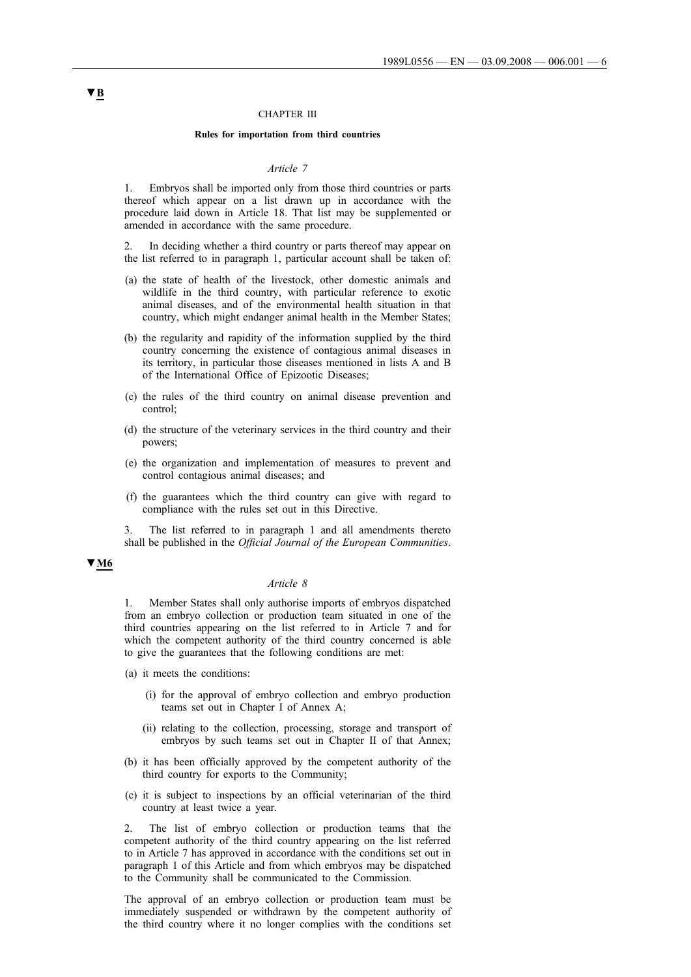#### CHAPTER III

#### **Rules for importation from third countries**

#### *Article 7*

1. Embryos shall be imported only from those third countries or parts thereof which appear on a list drawn up in accordance with the procedure laid down in Article 18. That list may be supplemented or amended in accordance with the same procedure.

In deciding whether a third country or parts thereof may appear on the list referred to in paragraph 1, particular account shall be taken of:

- (a) the state of health of the livestock, other domestic animals and wildlife in the third country, with particular reference to exotic animal diseases, and of the environmental health situation in that country, which might endanger animal health in the Member States;
- (b) the regularity and rapidity of the information supplied by the third country concerning the existence of contagious animal diseases in its territory, in particular those diseases mentioned in lists A and B of the International Office of Epizootic Diseases;
- (c) the rules of the third country on animal disease prevention and control;
- (d) the structure of the veterinary services in the third country and their powers;
- (e) the organization and implementation of measures to prevent and control contagious animal diseases; and
- (f) the guarantees which the third country can give with regard to compliance with the rules set out in this Directive.

3. The list referred to in paragraph 1 and all amendments thereto shall be published in the *Official Journal of the European Communities*.

### **▼M6**

### *Article 8*

1. Member States shall only authorise imports of embryos dispatched from an embryo collection or production team situated in one of the third countries appearing on the list referred to in Article 7 and for which the competent authority of the third country concerned is able to give the guarantees that the following conditions are met:

- (a) it meets the conditions:
	- (i) for the approval of embryo collection and embryo production teams set out in Chapter I of Annex A;
	- (ii) relating to the collection, processing, storage and transport of embryos by such teams set out in Chapter II of that Annex;
- (b) it has been officially approved by the competent authority of the third country for exports to the Community;
- (c) it is subject to inspections by an official veterinarian of the third country at least twice a year.

2. The list of embryo collection or production teams that the competent authority of the third country appearing on the list referred to in Article 7 has approved in accordance with the conditions set out in paragraph 1 of this Article and from which embryos may be dispatched to the Community shall be communicated to the Commission.

The approval of an embryo collection or production team must be immediately suspended or withdrawn by the competent authority of the third country where it no longer complies with the conditions set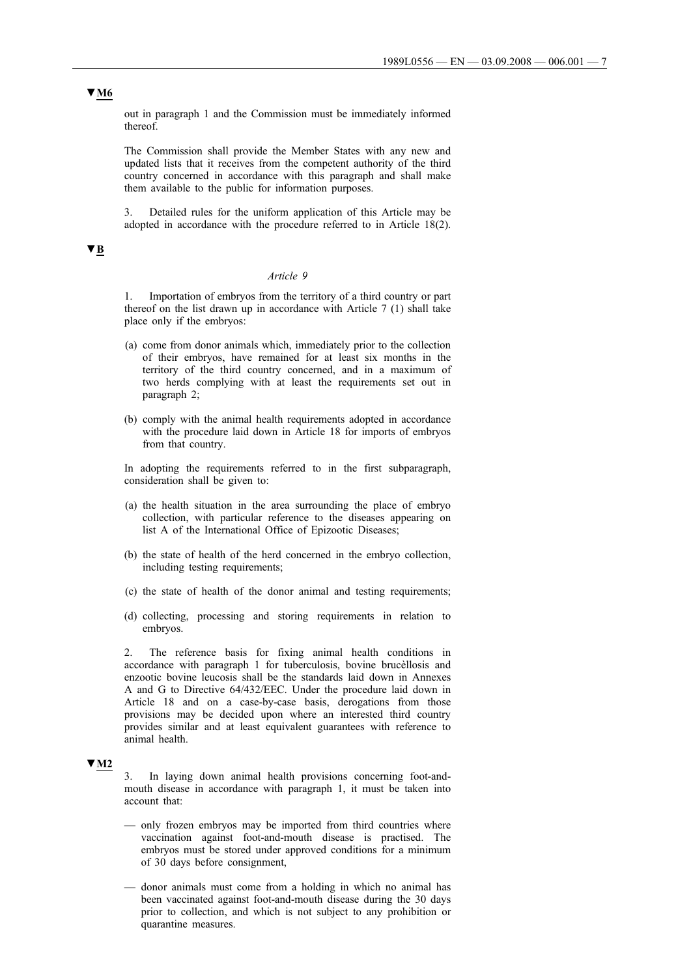### out in paragraph 1 and the Commission must be immediately informed thereof.

The Commission shall provide the Member States with any new and updated lists that it receives from the competent authority of the third country concerned in accordance with this paragraph and shall make them available to the public for information purposes.

3. Detailed rules for the uniform application of this Article may be adopted in accordance with the procedure referred to in Article 18(2).

# **▼B**

#### *Article 9*

1. Importation of embryos from the territory of a third country or part thereof on the list drawn up in accordance with Article 7 (1) shall take place only if the embryos:

- (a) come from donor animals which, immediately prior to the collection of their embryos, have remained for at least six months in the territory of the third country concerned, and in a maximum of two herds complying with at least the requirements set out in paragraph 2;
- (b) comply with the animal health requirements adopted in accordance with the procedure laid down in Article 18 for imports of embryos from that country.

In adopting the requirements referred to in the first subparagraph, consideration shall be given to:

- (a) the health situation in the area surrounding the place of embryo collection, with particular reference to the diseases appearing on list A of the International Office of Epizootic Diseases;
- (b) the state of health of the herd concerned in the embryo collection, including testing requirements;
- (c) the state of health of the donor animal and testing requirements;
- (d) collecting, processing and storing requirements in relation to embryos.

2. The reference basis for fixing animal health conditions in accordance with paragraph 1 for tuberculosis, bovine brucèllosis and enzootic bovine leucosis shall be the standards laid down in Annexes A and G to Directive 64/432/EEC. Under the procedure laid down in Article 18 and on a case-by-case basis, derogations from those provisions may be decided upon where an interested third country provides similar and at least equivalent guarantees with reference to animal health.

### **▼M2**

3. In laying down animal health provisions concerning foot-andmouth disease in accordance with paragraph 1, it must be taken into account that:

- only frozen embryos may be imported from third countries where vaccination against foot-and-mouth disease is practised. The embryos must be stored under approved conditions for a minimum of 30 days before consignment,
- donor animals must come from a holding in which no animal has been vaccinated against foot-and-mouth disease during the 30 days prior to collection, and which is not subject to any prohibition or quarantine measures.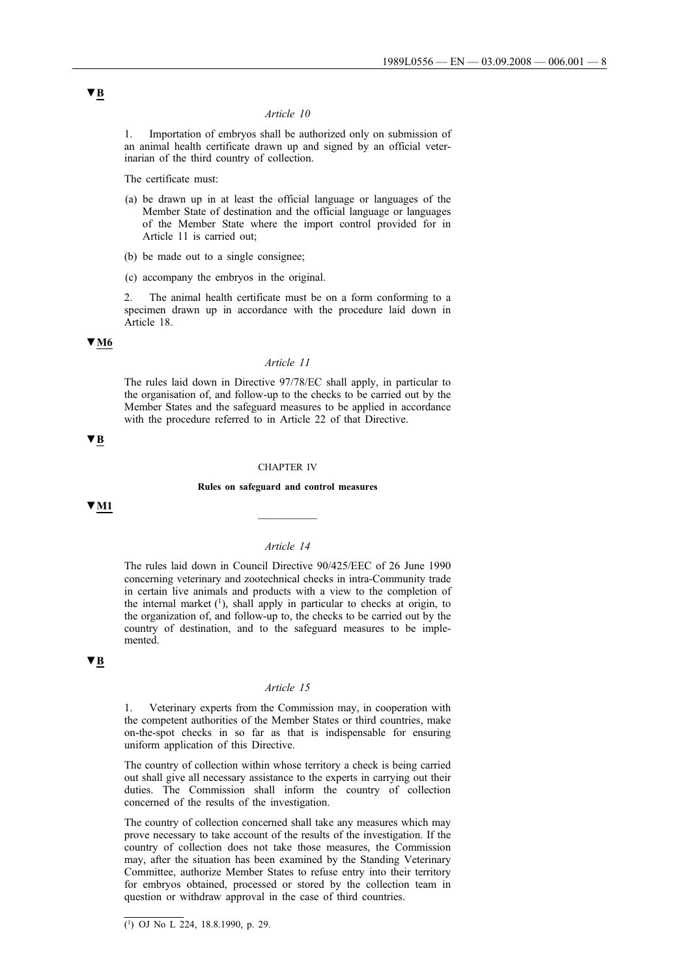#### *Article 10*

1. Importation of embryos shall be authorized only on submission of an animal health certificate drawn up and signed by an official veterinarian of the third country of collection.

The certificate must:

- (a) be drawn up in at least the official language or languages of the Member State of destination and the official language or languages of the Member State where the import control provided for in Article 11 is carried out;
- (b) be made out to a single consignee;
- (c) accompany the embryos in the original.

2. The animal health certificate must be on a form conforming to a specimen drawn up in accordance with the procedure laid down in Article 18.

# **▼M6**

#### *Article 11*

The rules laid down in Directive 97/78/EC shall apply, in particular to the organisation of, and follow-up to the checks to be carried out by the Member States and the safeguard measures to be applied in accordance with the procedure referred to in Article 22 of that Directive.

### **▼B**

#### CHAPTER IV

**Rules on safeguard and control measures**

**▼M1** \_\_\_\_\_\_\_\_\_\_

## *Article 14*

The rules laid down in Council Directive 90/425/EEC of 26 June 1990 concerning veterinary and zootechnical checks in intra-Community trade in certain live animals and products with a view to the completion of the internal market  $(1)$ , shall apply in particular to checks at origin, to the organization of, and follow-up to, the checks to be carried out by the country of destination, and to the safeguard measures to be implemented.

#### **▼B**

#### *Article 15*

1. Veterinary experts from the Commission may, in cooperation with the competent authorities of the Member States or third countries, make on-the-spot checks in so far as that is indispensable for ensuring uniform application of this Directive.

The country of collection within whose territory a check is being carried out shall give all necessary assistance to the experts in carrying out their duties. The Commission shall inform the country of collection concerned of the results of the investigation.

The country of collection concerned shall take any measures which may prove necessary to take account of the results of the investigation. If the country of collection does not take those measures, the Commission may, after the situation has been examined by the Standing Veterinary Committee, authorize Member States to refuse entry into their territory for embryos obtained, processed or stored by the collection team in question or withdraw approval in the case of third countries.

<sup>(1)</sup> OJ No L 224, 18.8.1990, p. 29.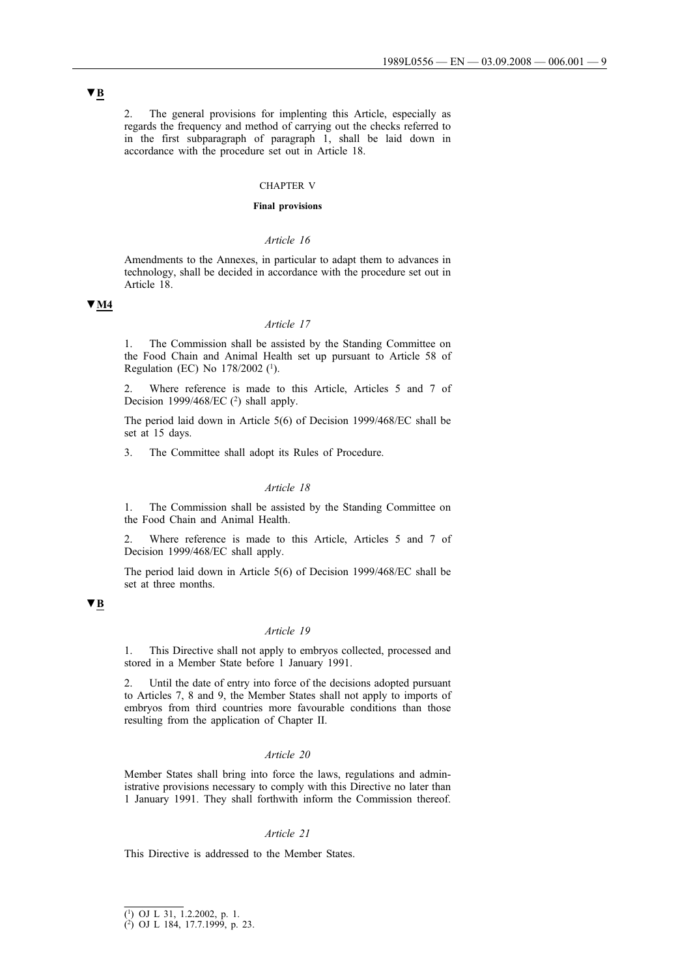2. The general provisions for implenting this Article, especially as regards the frequency and method of carrying out the checks referred to in the first subparagraph of paragraph 1, shall be laid down in accordance with the procedure set out in Article 18.

### CHAPTER V

#### **Final provisions**

#### *Article 16*

Amendments to the Annexes, in particular to adapt them to advances in technology, shall be decided in accordance with the procedure set out in Article 18.

# **▼M4**

## *Article 17*

1. The Commission shall be assisted by the Standing Committee on the Food Chain and Animal Health set up pursuant to Article 58 of Regulation (EC) No 178/2002 (1).

2. Where reference is made to this Article, Articles 5 and 7 of Decision 1999/468/EC (2) shall apply.

The period laid down in Article 5(6) of Decision 1999/468/EC shall be set at 15 days.

3. The Committee shall adopt its Rules of Procedure.

#### *Article 18*

1. The Commission shall be assisted by the Standing Committee on the Food Chain and Animal Health.

2. Where reference is made to this Article, Articles 5 and 7 of Decision 1999/468/EC shall apply.

The period laid down in Article 5(6) of Decision 1999/468/EC shall be set at three months.

# **▼B**

#### *Article 19*

1. This Directive shall not apply to embryos collected, processed and stored in a Member State before 1 January 1991.

2. Until the date of entry into force of the decisions adopted pursuant to Articles 7, 8 and 9, the Member States shall not apply to imports of embryos from third countries more favourable conditions than those resulting from the application of Chapter II.

#### *Article 20*

Member States shall bring into force the laws, regulations and administrative provisions necessary to comply with this Directive no later than 1 January 1991. They shall forthwith inform the Commission thereof.

#### *Article 21*

This Directive is addressed to the Member States.

<sup>(1)</sup> OJ L 31, 1.2.2002, p. 1.

<sup>(2)</sup> OJ L 184, 17.7.1999, p. 23.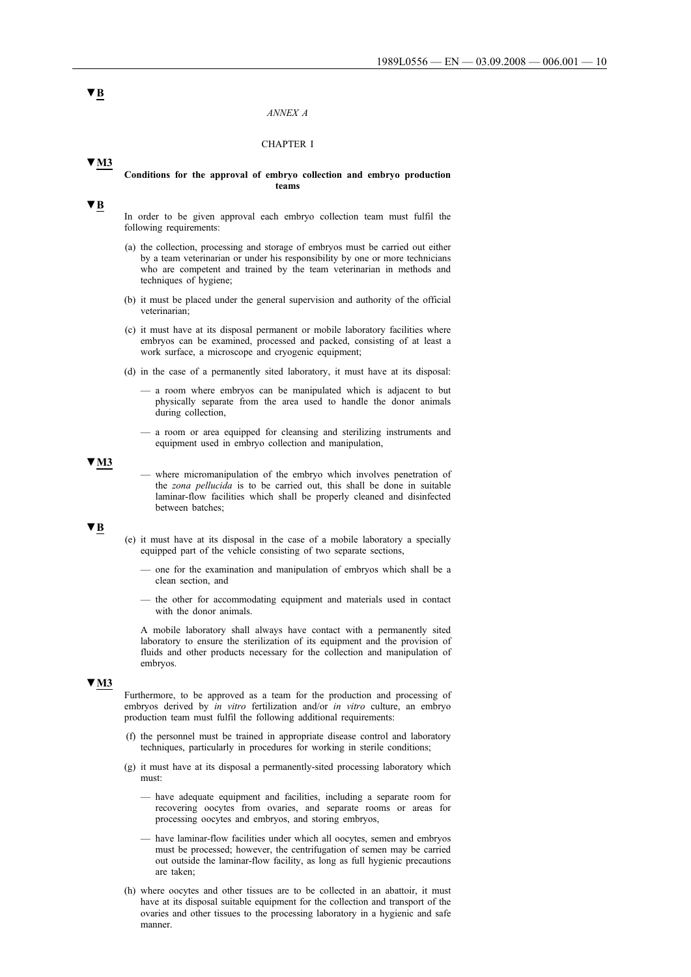#### *ANNEX A*

### CHAPTER I

### **▼M3**

#### **Conditions for the approval of embryo collection and embryo production teams**

#### **▼B**

In order to be given approval each embryo collection team must fulfil the following requirements:

- (a) the collection, processing and storage of embryos must be carried out either by a team veterinarian or under his responsibility by one or more technicians who are competent and trained by the team veterinarian in methods and techniques of hygiene;
- (b) it must be placed under the general supervision and authority of the official veterinarian;
- (c) it must have at its disposal permanent or mobile laboratory facilities where embryos can be examined, processed and packed, consisting of at least a work surface, a microscope and cryogenic equipment;
- (d) in the case of a permanently sited laboratory, it must have at its disposal:
	- a room where embryos can be manipulated which is adjacent to but physically separate from the area used to handle the donor animals during collection,
	- a room or area equipped for cleansing and sterilizing instruments and equipment used in embryo collection and manipulation,

### **▼M3**

where micromanipulation of the embryo which involves penetration of the *zona pellucida* is to be carried out, this shall be done in suitable laminar-flow facilities which shall be properly cleaned and disinfected between batches;

# **▼B**

- (e) it must have at its disposal in the case of a mobile laboratory a specially equipped part of the vehicle consisting of two separate sections,
	- one for the examination and manipulation of embryos which shall be a clean section, and
	- the other for accommodating equipment and materials used in contact with the donor animals.

A mobile laboratory shall always have contact with a permanently sited laboratory to ensure the sterilization of its equipment and the provision of fluids and other products necessary for the collection and manipulation of embryos.

#### **▼M3**

Furthermore, to be approved as a team for the production and processing of embryos derived by *in vitro* fertilization and/or *in vitro* culture, an embryo production team must fulfil the following additional requirements:

- (f) the personnel must be trained in appropriate disease control and laboratory techniques, particularly in procedures for working in sterile conditions;
- (g) it must have at its disposal a permanently-sited processing laboratory which must:
	- have adequate equipment and facilities, including a separate room for recovering oocytes from ovaries, and separate rooms or areas for processing oocytes and embryos, and storing embryos,
	- have laminar-flow facilities under which all oocytes, semen and embryos must be processed; however, the centrifugation of semen may be carried out outside the laminar-flow facility, as long as full hygienic precautions are taken;
- (h) where oocytes and other tissues are to be collected in an abattoir, it must have at its disposal suitable equipment for the collection and transport of the ovaries and other tissues to the processing laboratory in a hygienic and safe manner.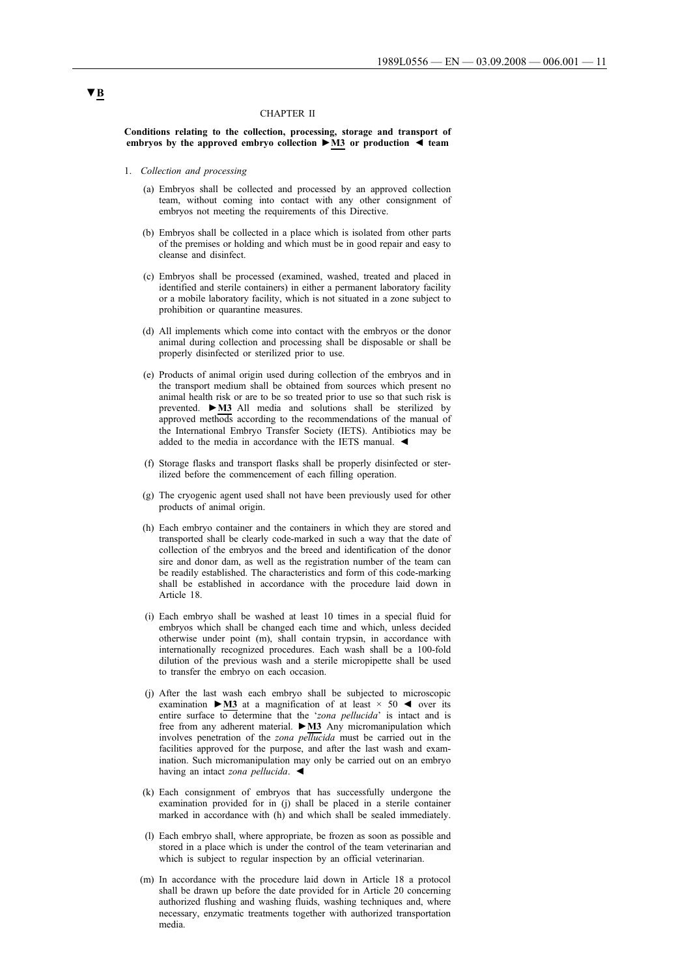#### CHAPTER II

**Conditions relating to the collection, processing, storage and transport of embryos by the approved embryo collection ►M3 or production ◄ team**

- 1. *Collection and processing*
	- (a) Embryos shall be collected and processed by an approved collection team, without coming into contact with any other consignment of embryos not meeting the requirements of this Directive.
	- (b) Embryos shall be collected in a place which is isolated from other parts of the premises or holding and which must be in good repair and easy to cleanse and disinfect.
	- (c) Embryos shall be processed (examined, washed, treated and placed in identified and sterile containers) in either a permanent laboratory facility or a mobile laboratory facility, which is not situated in a zone subject to prohibition or quarantine measures.
	- (d) All implements which come into contact with the embryos or the donor animal during collection and processing shall be disposable or shall be properly disinfected or sterilized prior to use.
	- (e) Products of animal origin used during collection of the embryos and in the transport medium shall be obtained from sources which present no animal health risk or are to be so treated prior to use so that such risk is prevented. **►M3** All media and solutions shall be sterilized by approved methods according to the recommendations of the manual of the International Embryo Transfer Society (IETS). Antibiotics may be added to the media in accordance with the IETS manual. ◄
	- (f) Storage flasks and transport flasks shall be properly disinfected or sterilized before the commencement of each filling operation.
	- (g) The cryogenic agent used shall not have been previously used for other products of animal origin.
	- (h) Each embryo container and the containers in which they are stored and transported shall be clearly code-marked in such a way that the date of collection of the embryos and the breed and identification of the donor sire and donor dam, as well as the registration number of the team can be readily established. The characteristics and form of this code-marking shall be established in accordance with the procedure laid down in Article 18.
	- (i) Each embryo shall be washed at least 10 times in a special fluid for embryos which shall be changed each time and which, unless decided otherwise under point (m), shall contain trypsin, in accordance with internationally recognized procedures. Each wash shall be a 100-fold dilution of the previous wash and a sterile micropipette shall be used to transfer the embryo on each occasion.
	- (j) After the last wash each embryo shall be subjected to microscopic examination **►M3** at a magnification of at least × 50 ◄ over its entire surface to determine that the '*zona pellucida*' is intact and is free from any adherent material. **►M3** Any micromanipulation which involves penetration of the *zona pellucida* must be carried out in the facilities approved for the purpose, and after the last wash and examination. Such micromanipulation may only be carried out on an embryo having an intact *zona pellucida*. ◄
	- (k) Each consignment of embryos that has successfully undergone the examination provided for in (j) shall be placed in a sterile container marked in accordance with (h) and which shall be sealed immediately.
	- (l) Each embryo shall, where appropriate, be frozen as soon as possible and stored in a place which is under the control of the team veterinarian and which is subject to regular inspection by an official veterinarian.
	- (m) In accordance with the procedure laid down in Article 18 a protocol shall be drawn up before the date provided for in Article 20 concerning authorized flushing and washing fluids, washing techniques and, where necessary, enzymatic treatments together with authorized transportation media.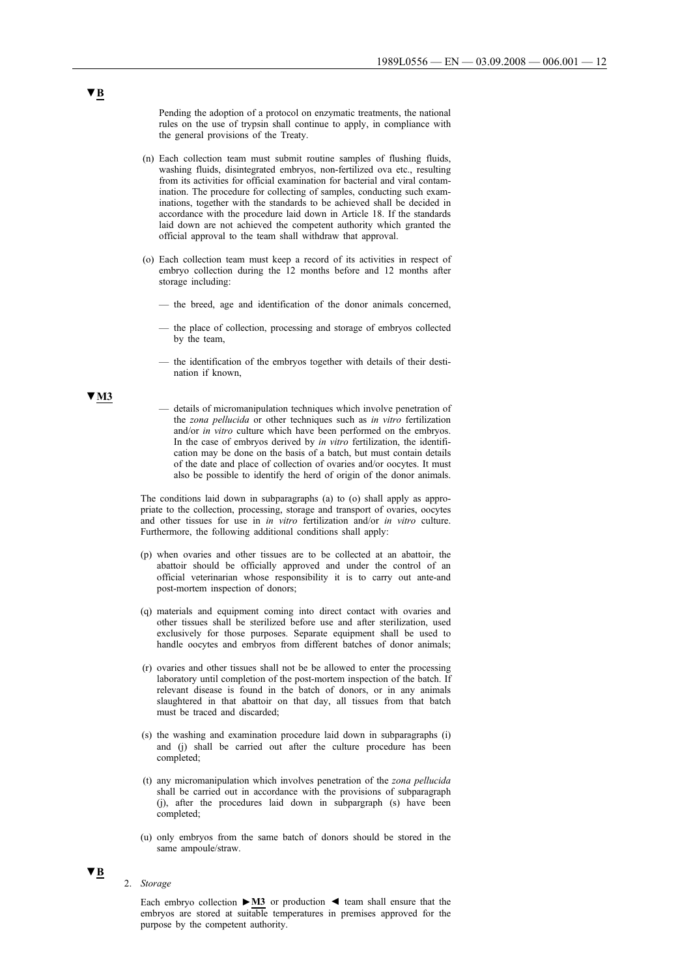Pending the adoption of a protocol on enzymatic treatments, the national rules on the use of trypsin shall continue to apply, in compliance with the general provisions of the Treaty.

- (n) Each collection team must submit routine samples of flushing fluids, washing fluids, disintegrated embryos, non-fertilized ova etc., resulting from its activities for official examination for bacterial and viral contamination. The procedure for collecting of samples, conducting such examinations, together with the standards to be achieved shall be decided in accordance with the procedure laid down in Article 18. If the standards laid down are not achieved the competent authority which granted the official approval to the team shall withdraw that approval.
- (o) Each collection team must keep a record of its activities in respect of embryo collection during the 12 months before and 12 months after storage including:
	- the breed, age and identification of the donor animals concerned,
	- the place of collection, processing and storage of embryos collected by the team,
	- the identification of the embryos together with details of their destination if known,
	- details of micromanipulation techniques which involve penetration of the *zona pellucida* or other techniques such as *in vitro* fertilization and/or *in vitro* culture which have been performed on the embryos. In the case of embryos derived by *in vitro* fertilization, the identification may be done on the basis of a batch, but must contain details of the date and place of collection of ovaries and/or oocytes. It must also be possible to identify the herd of origin of the donor animals.

The conditions laid down in subparagraphs (a) to (o) shall apply as appropriate to the collection, processing, storage and transport of ovaries, oocytes and other tissues for use in *in vitro* fertilization and/or *in vitro* culture. Furthermore, the following additional conditions shall apply:

- (p) when ovaries and other tissues are to be collected at an abattoir, the abattoir should be officially approved and under the control of an official veterinarian whose responsibility it is to carry out ante-and post-mortem inspection of donors;
- (q) materials and equipment coming into direct contact with ovaries and other tissues shall be sterilized before use and after sterilization, used exclusively for those purposes. Separate equipment shall be used to handle oocytes and embryos from different batches of donor animals;
- (r) ovaries and other tissues shall not be be allowed to enter the processing laboratory until completion of the post-mortem inspection of the batch. If relevant disease is found in the batch of donors, or in any animals slaughtered in that abattoir on that day, all tissues from that batch must be traced and discarded;
- (s) the washing and examination procedure laid down in subparagraphs (i) and (j) shall be carried out after the culture procedure has been completed;
- (t) any micromanipulation which involves penetration of the *zona pellucida* shall be carried out in accordance with the provisions of subparagraph (j), after the procedures laid down in subpargraph (s) have been completed;
- (u) only embryos from the same batch of donors should be stored in the same ampoule/straw.

# **▼B**

### 2. *Storage*

Each embryo collection **►M3** or production ◄ team shall ensure that the embryos are stored at suitable temperatures in premises approved for the purpose by the competent authority.

# **▼B**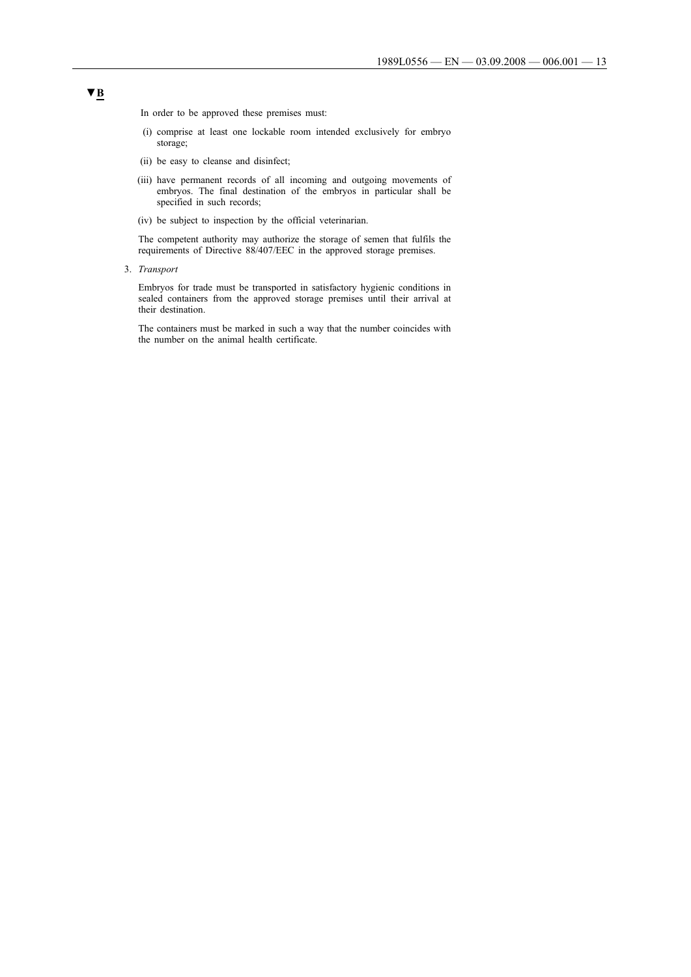In order to be approved these premises must:

- (i) comprise at least one lockable room intended exclusively for embryo storage;
- (ii) be easy to cleanse and disinfect;
- (iii) have permanent records of all incoming and outgoing movements of embryos. The final destination of the embryos in particular shall be specified in such records;
- (iv) be subject to inspection by the official veterinarian.

The competent authority may authorize the storage of semen that fulfils the requirements of Directive 88/407/EEC in the approved storage premises.

3. *Transport*

Embryos for trade must be transported in satisfactory hygienic conditions in sealed containers from the approved storage premises until their arrival at their destination.

The containers must be marked in such a way that the number coincides with the number on the animal health certificate.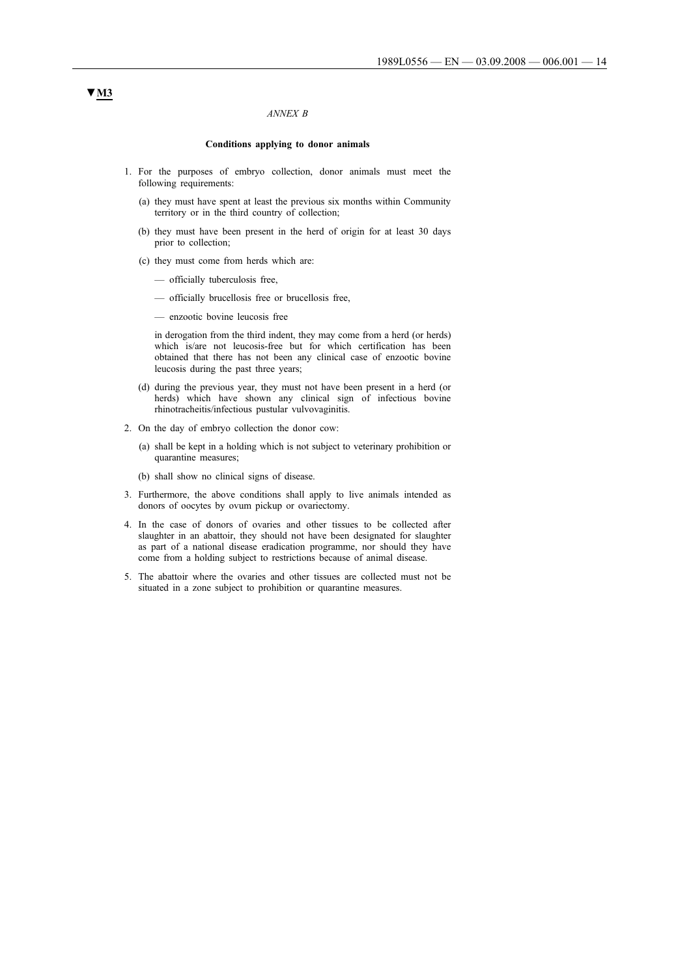#### *ANNEX B*

### **Conditions applying to donor animals**

- 1. For the purposes of embryo collection, donor animals must meet the following requirements:
	- (a) they must have spent at least the previous six months within Community territory or in the third country of collection;
	- (b) they must have been present in the herd of origin for at least 30 days prior to collection;
	- (c) they must come from herds which are:
		- officially tuberculosis free,
		- officially brucellosis free or brucellosis free,
		- enzootic bovine leucosis free

in derogation from the third indent, they may come from a herd (or herds) which is/are not leucosis-free but for which certification has been obtained that there has not been any clinical case of enzootic bovine leucosis during the past three years;

- (d) during the previous year, they must not have been present in a herd (or herds) which have shown any clinical sign of infectious bovine rhinotracheitis/infectious pustular vulvovaginitis.
- 2. On the day of embryo collection the donor cow:
	- (a) shall be kept in a holding which is not subject to veterinary prohibition or quarantine measures;
	- (b) shall show no clinical signs of disease.
- 3. Furthermore, the above conditions shall apply to live animals intended as donors of oocytes by ovum pickup or ovariectomy.
- 4. In the case of donors of ovaries and other tissues to be collected after slaughter in an abattoir, they should not have been designated for slaughter as part of a national disease eradication programme, nor should they have come from a holding subject to restrictions because of animal disease.
- 5. The abattoir where the ovaries and other tissues are collected must not be situated in a zone subject to prohibition or quarantine measures.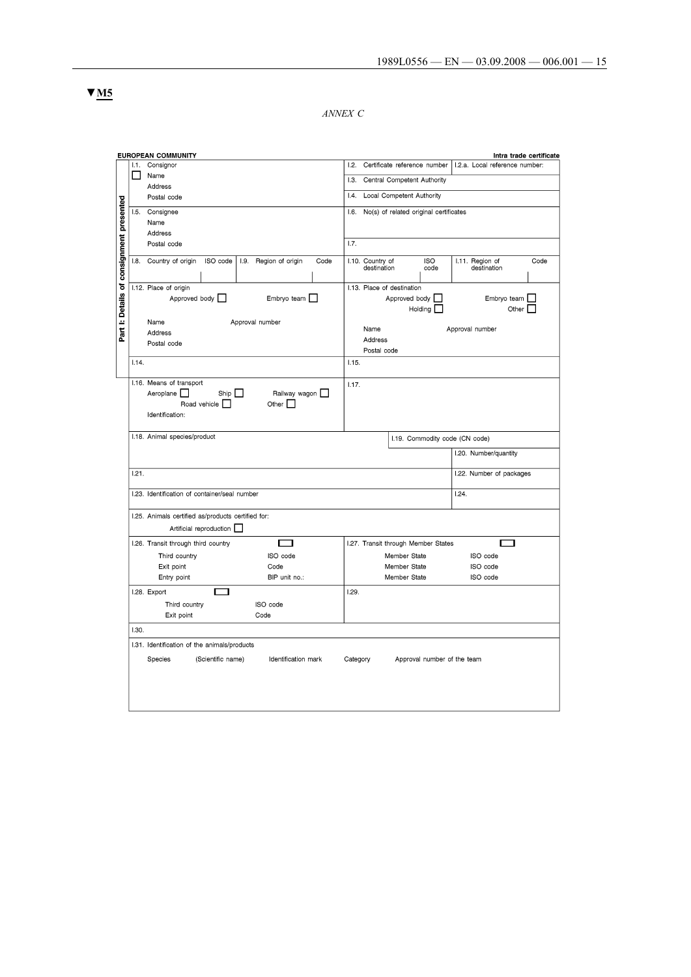*ANNEX C*

|                                          |              | EUROPEAN COMMUNITY                                             | Intra trade certificate                                                |  |  |  |  |  |
|------------------------------------------|--------------|----------------------------------------------------------------|------------------------------------------------------------------------|--|--|--|--|--|
|                                          | I.1.         | Consignor                                                      | 1.2.<br>Certificate reference number<br>I.2.a. Local reference number: |  |  |  |  |  |
|                                          | $\mathbf{I}$ | Name                                                           | 1.3.<br>Central Competent Authority                                    |  |  |  |  |  |
|                                          |              | Address                                                        |                                                                        |  |  |  |  |  |
|                                          |              | Postal code                                                    | 1.4.<br>Local Competent Authority                                      |  |  |  |  |  |
|                                          | 1.5.         | Consignee                                                      | 1.6.<br>No(s) of related original certificates                         |  |  |  |  |  |
|                                          |              | Name                                                           |                                                                        |  |  |  |  |  |
| Part I: Details of consignment presented |              | Address                                                        |                                                                        |  |  |  |  |  |
|                                          |              | Postal code                                                    | 1.7.                                                                   |  |  |  |  |  |
|                                          | 1.8.         | Country of origin<br>ISO code<br>I.9. Region of origin<br>Code | I.10. Country of<br><b>ISO</b><br>I.11. Region of<br>Code              |  |  |  |  |  |
|                                          |              |                                                                | destination<br>destination<br>code                                     |  |  |  |  |  |
|                                          |              |                                                                |                                                                        |  |  |  |  |  |
|                                          |              | I.12. Place of origin                                          | I.13. Place of destination                                             |  |  |  |  |  |
|                                          |              | Approved body  <br>Embryo team [                               | Approved body  <br>Embryo team                                         |  |  |  |  |  |
|                                          |              |                                                                | Holding [<br>Other                                                     |  |  |  |  |  |
|                                          |              | Approval number<br>Name                                        |                                                                        |  |  |  |  |  |
|                                          |              | Address                                                        | Name<br>Approval number                                                |  |  |  |  |  |
|                                          |              | Postal code                                                    | Address                                                                |  |  |  |  |  |
|                                          |              |                                                                | Postal code                                                            |  |  |  |  |  |
|                                          | 1.14.        |                                                                | 1.15.                                                                  |  |  |  |  |  |
|                                          |              | I.16. Means of transport                                       | 1.17.                                                                  |  |  |  |  |  |
|                                          |              | Aeroplane $\Box$<br>Ship $\Box$<br>Railway wagon $\square$     |                                                                        |  |  |  |  |  |
|                                          |              | Road vehicle <b>N</b><br>Other $\square$                       |                                                                        |  |  |  |  |  |
|                                          |              | Identification:                                                |                                                                        |  |  |  |  |  |
|                                          |              |                                                                |                                                                        |  |  |  |  |  |
|                                          |              | I.18. Animal species/product                                   | I.19. Commodity code (CN code)                                         |  |  |  |  |  |
|                                          |              |                                                                | I.20. Number/quantity                                                  |  |  |  |  |  |
|                                          | 1.21.        |                                                                |                                                                        |  |  |  |  |  |
|                                          |              |                                                                | I.22. Number of packages                                               |  |  |  |  |  |
|                                          |              | I.23. Identification of container/seal number                  | 1.24.                                                                  |  |  |  |  |  |
|                                          |              |                                                                |                                                                        |  |  |  |  |  |
|                                          |              | I.25. Animals certified as/products certified for:             |                                                                        |  |  |  |  |  |
|                                          |              | Artificial reproduction                                        |                                                                        |  |  |  |  |  |
|                                          |              | I.26. Transit through third country<br>□                       | I.27. Transit through Member States<br>Е<br>$\overline{\phantom{0}}$   |  |  |  |  |  |
|                                          |              | ISO code<br>Third country                                      | Member State<br>ISO code                                               |  |  |  |  |  |
|                                          |              | Exit point<br>Code                                             | Member State<br>ISO code                                               |  |  |  |  |  |
|                                          |              | Entry point<br>BIP unit no.:                                   | Member State<br>ISO code                                               |  |  |  |  |  |
|                                          |              | I.28. Export<br>□                                              | 1.29.                                                                  |  |  |  |  |  |
|                                          |              | ISO code<br>Third country                                      |                                                                        |  |  |  |  |  |
|                                          |              | Exit point<br>Code                                             |                                                                        |  |  |  |  |  |
|                                          | 1.30.        |                                                                |                                                                        |  |  |  |  |  |
|                                          |              | I.31. Identification of the animals/products                   |                                                                        |  |  |  |  |  |
|                                          |              |                                                                |                                                                        |  |  |  |  |  |
|                                          |              | (Scientific name)<br>Identification mark<br>Species            | Category<br>Approval number of the team                                |  |  |  |  |  |
|                                          |              |                                                                |                                                                        |  |  |  |  |  |
|                                          |              |                                                                |                                                                        |  |  |  |  |  |
|                                          |              |                                                                |                                                                        |  |  |  |  |  |
|                                          |              |                                                                |                                                                        |  |  |  |  |  |